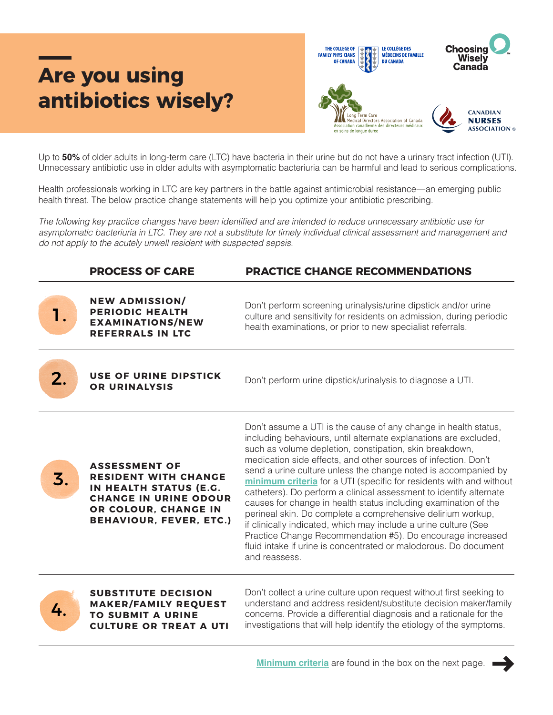## **Are you using antibiotics wisely?**



Up to **50%** of older adults in long-term care (LTC) have bacteria in their urine but do not have a urinary tract infection (UTI). Unnecessary antibiotic use in older adults with asymptomatic bacteriuria can be harmful and lead to serious complications.

Health professionals working in LTC are key partners in the battle against antimicrobial resistance—an emerging public health threat. The below practice change statements will help you optimize your antibiotic prescribing.

The following key practice changes have been identified and are intended to reduce unnecessary antibiotic use for asymptomatic bacteriuria in LTC. They are not a substitute for timely individual clinical assessment and management and do not apply to the acutely unwell resident with suspected sepsis.

|    | <b>PROCESS OF CARE</b>                                                                                                                                                  | <b>PRACTICE CHANGE RECOMMENDATIONS</b>                                                                                                                                                                                                                                                                                                                                                                                                                                                                                                                                                                                                                                                                                                                                                                                                  |  |
|----|-------------------------------------------------------------------------------------------------------------------------------------------------------------------------|-----------------------------------------------------------------------------------------------------------------------------------------------------------------------------------------------------------------------------------------------------------------------------------------------------------------------------------------------------------------------------------------------------------------------------------------------------------------------------------------------------------------------------------------------------------------------------------------------------------------------------------------------------------------------------------------------------------------------------------------------------------------------------------------------------------------------------------------|--|
|    | <b>NEW ADMISSION/</b><br><b>PERIODIC HEALTH</b><br><b>EXAMINATIONS/NEW</b><br><b>REFERRALS IN LTC</b>                                                                   | Don't perform screening urinalysis/urine dipstick and/or urine<br>culture and sensitivity for residents on admission, during periodic<br>health examinations, or prior to new specialist referrals.                                                                                                                                                                                                                                                                                                                                                                                                                                                                                                                                                                                                                                     |  |
|    | <b>USE OF URINE DIPSTICK</b><br><b>OR URINALYSIS</b>                                                                                                                    | Don't perform urine dipstick/urinalysis to diagnose a UTI.                                                                                                                                                                                                                                                                                                                                                                                                                                                                                                                                                                                                                                                                                                                                                                              |  |
| 3. | <b>ASSESSMENT OF</b><br><b>RESIDENT WITH CHANGE</b><br>IN HEALTH STATUS (E.G.<br><b>CHANGE IN URINE ODOUR</b><br>OR COLOUR, CHANGE IN<br><b>BEHAVIOUR, FEVER, ETC.)</b> | Don't assume a UTI is the cause of any change in health status,<br>including behaviours, until alternate explanations are excluded,<br>such as volume depletion, constipation, skin breakdown,<br>medication side effects, and other sources of infection. Don't<br>send a urine culture unless the change noted is accompanied by<br>minimum criteria for a UTI (specific for residents with and without<br>catheters). Do perform a clinical assessment to identify alternate<br>causes for change in health status including examination of the<br>perineal skin. Do complete a comprehensive delirium workup,<br>if clinically indicated, which may include a urine culture (See<br>Practice Change Recommendation #5). Do encourage increased<br>fluid intake if urine is concentrated or malodorous. Do document<br>and reassess. |  |
|    | <b>SUBSTITUTE DECISION</b><br><b>MAKER/FAMILY REQUEST</b><br><b>TO SUBMIT A URINE</b><br><b>CULTURE OR TREAT A UTI</b>                                                  | Don't collect a urine culture upon request without first seeking to<br>understand and address resident/substitute decision maker/family<br>concerns. Provide a differential diagnosis and a rationale for the<br>investigations that will help identify the etiology of the symptoms.                                                                                                                                                                                                                                                                                                                                                                                                                                                                                                                                                   |  |